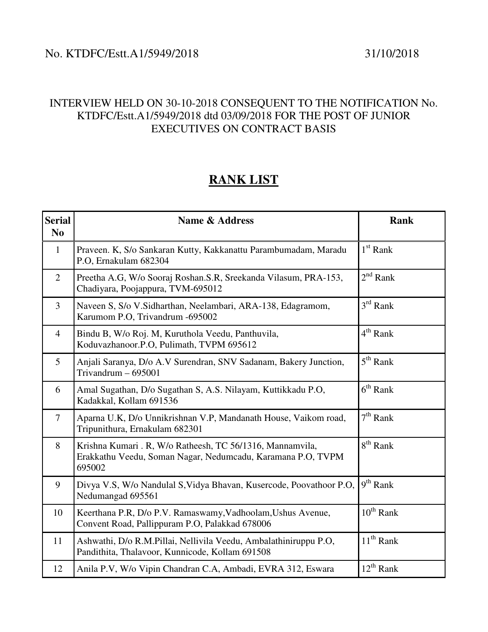## No. KTDFC/Estt.A1/5949/2018 31/10/2018

## INTERVIEW HELD ON 30-10-2018 CONSEQUENT TO THE NOTIFICATION No. KTDFC/Estt.A1/5949/2018 dtd 03/09/2018 FOR THE POST OF JUNIOR EXECUTIVES ON CONTRACT BASIS

## **RANK LIST**

| <b>Serial</b><br>N <sub>0</sub> | <b>Name &amp; Address</b>                                                                                                          | <b>Rank</b>    |
|---------------------------------|------------------------------------------------------------------------------------------------------------------------------------|----------------|
| $\mathbf{1}$                    | Praveen. K, S/o Sankaran Kutty, Kakkanattu Parambumadam, Maradu<br>P.O, Ernakulam 682304                                           | $1st$ Rank     |
| $\overline{2}$                  | Preetha A.G, W/o Sooraj Roshan.S.R, Sreekanda Vilasum, PRA-153,<br>Chadiyara, Poojappura, TVM-695012                               | $2^{nd}$ Rank  |
| $\overline{3}$                  | Naveen S, S/o V. Sidharthan, Neelambari, ARA-138, Edagramom,<br>Karumom P.O, Trivandrum -695002                                    | $3rd$ Rank     |
| $\overline{4}$                  | Bindu B, W/o Roj. M, Kuruthola Veedu, Panthuvila,<br>Koduvazhanoor.P.O, Pulimath, TVPM 695612                                      | $4th$ Rank     |
| $\mathfrak{S}$                  | Anjali Saranya, D/o A.V Surendran, SNV Sadanam, Bakery Junction,<br>Trivandrum $-695001$                                           | $5th$ Rank     |
| 6                               | Amal Sugathan, D/o Sugathan S, A.S. Nilayam, Kuttikkadu P.O,<br>Kadakkal, Kollam 691536                                            | $6th$ Rank     |
| $7\phantom{.0}$                 | Aparna U.K, D/o Unnikrishnan V.P, Mandanath House, Vaikom road,<br>Tripunithura, Ernakulam 682301                                  | $7th$ Rank     |
| 8                               | Krishna Kumari . R, W/o Ratheesh, TC 56/1316, Mannamvila,<br>Erakkathu Veedu, Soman Nagar, Nedumcadu, Karamana P.O, TVPM<br>695002 | $8th$ Rank     |
| 9                               | Divya V.S, W/o Nandulal S, Vidya Bhavan, Kusercode, Poovathoor P.O,<br>Nedumangad 695561                                           | $9th$ Rank     |
| 10                              | Keerthana P.R, D/o P.V. Ramaswamy, Vadhoolam, Ushus Avenue,<br>Convent Road, Pallippuram P.O, Palakkad 678006                      | $10^{th}$ Rank |
| 11                              | Ashwathi, D/o R.M.Pillai, Nellivila Veedu, Ambalathiniruppu P.O,<br>Pandithita, Thalavoor, Kunnicode, Kollam 691508                | $11^{th}$ Rank |
| 12                              | Anila P.V, W/o Vipin Chandran C.A, Ambadi, EVRA 312, Eswara                                                                        | $12^{th}$ Rank |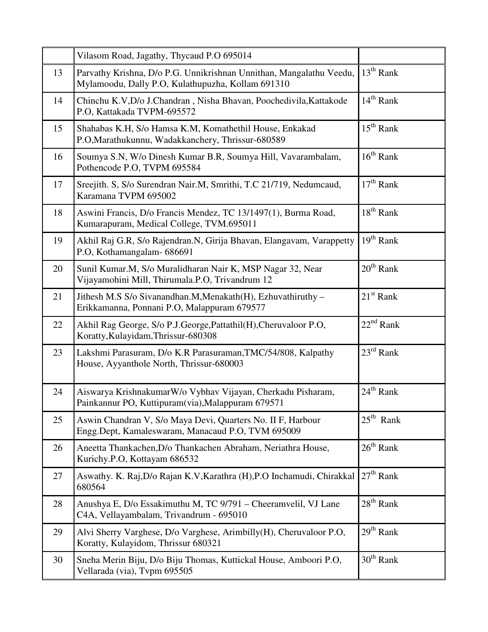|    | Vilasom Road, Jagathy, Thycaud P.O 695014                                                                                |                       |
|----|--------------------------------------------------------------------------------------------------------------------------|-----------------------|
| 13 | Parvathy Krishna, D/o P.G. Unnikrishnan Unnithan, Mangalathu Veedu,<br>Mylamoodu, Dally P.O, Kulathupuzha, Kollam 691310 | $13th$ Rank           |
| 14 | Chinchu K.V, D/o J.Chandran, Nisha Bhavan, Poochedivila, Kattakode<br>P.O, Kattakada TVPM-695572                         | $14th$ Rank           |
| 15 | Shahabas K.H, S/o Hamsa K.M, Komathethil House, Enkakad<br>P.O, Marathukunnu, Wadakkanchery, Thrissur-680589             | $15^{th}$ Rank        |
| 16 | Soumya S.N, W/o Dinesh Kumar B.R, Soumya Hill, Vavarambalam,<br>Pothencode P.O, TVPM 695584                              | $16th$ Rank           |
| 17 | Sreejith. S, S/o Surendran Nair.M, Smrithi, T.C 21/719, Nedumcaud,<br>Karamana TVPM 695002                               | $17th$ Rank           |
| 18 | Aswini Francis, D/o Francis Mendez, TC 13/1497(1), Burma Road,<br>Kumarapuram, Medical College, TVM.695011               | $18th$ Rank           |
| 19 | Akhil Raj G.R, S/o Rajendran.N, Girija Bhavan, Elangavam, Varappetty<br>P.O, Kothamangalam- 686691                       | $19th$ Rank           |
| 20 | Sunil Kumar.M, S/o Muralidharan Nair K, MSP Nagar 32, Near<br>Vijayamohini Mill, Thirumala.P.O, Trivandrum 12            | $20th$ Rank           |
| 21 | Jithesh M.S S/o Sivanandhan.M, Menakath(H), Ezhuvathiruthy -<br>Erikkamanna, Ponnani P.O, Malappuram 679577              | $21st$ Rank           |
| 22 | Akhil Rag George, S/o P.J.George, Pattathil(H), Cheruvaloor P.O,<br>Koratty, Kulayidam, Thrissur-680308                  | $22nd$ Rank           |
| 23 | Lakshmi Parasuram, D/o K.R Parasuraman, TMC/54/808, Kalpathy<br>House, Ayyanthole North, Thrissur-680003                 | $23^{\text{rd}}$ Rank |
| 24 | Aiswarya KrishnakumarW/o Vybhav Vijayan, Cherkadu Pisharam,<br>Painkannur PO, Kuttipuram(via), Malappuram 679571         | $24th$ Rank           |
| 25 | Aswin Chandran V, S/o Maya Devi, Quarters No. II F, Harbour<br>Engg.Dept, Kamaleswaram, Manacaud P.O, TVM 695009         | $25th$ Rank           |
| 26 | Aneetta Thankachen, D/o Thankachen Abraham, Neriathra House,<br>Kurichy.P.O, Kottayam 686532                             | $26th$ Rank           |
| 27 | Aswathy. K. Raj, D/o Rajan K.V, Karathra (H), P.O Inchamudi, Chirakkal<br>680564                                         | $27th$ Rank           |
| 28 | Anushya E, D/o Essakimuthu M, TC 9/791 – Cheeramvelil, VJ Lane<br>C4A, Vellayambalam, Trivandrum - 695010                | $28th$ Rank           |
| 29 | Alvi Sherry Varghese, D/o Varghese, Arimbilly(H), Cheruvaloor P.O,<br>Koratty, Kulayidom, Thrissur 680321                | $29th$ Rank           |
| 30 | Sneha Merin Biju, D/o Biju Thomas, Kuttickal House, Amboori P.O,<br>Vellarada (via), Tvpm 695505                         | $30th$ Rank           |